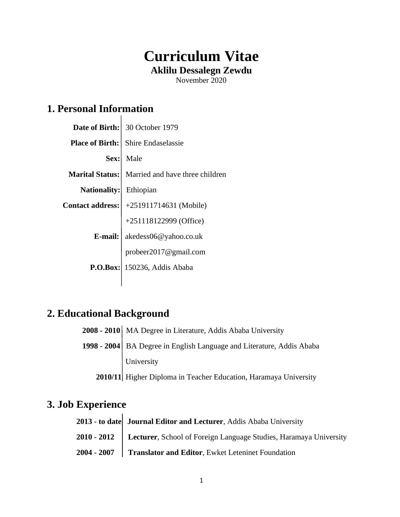# **Curriculum Vitae Aklilu Dessalegn Zewdu**

November 2020

# **1. Personal Information**

|              | Date of Birth: 30 October 1979                         |
|--------------|--------------------------------------------------------|
|              | <b>Place of Birth:</b> Shire Endaselassie              |
| Sex:         | Male                                                   |
|              | <b>Marital Status:</b> Married and have three children |
| Nationality: | Ethiopian                                              |
|              | Contact address: $ +251911714631$ (Mobile)             |
|              | +251118122999 (Office)                                 |
| $E$ -mail:   | akedess06@yahoo.co.uk                                  |
|              | probeer2017@gmail.com                                  |
|              | <b>P.O.Box:</b> 150236, Addis Ababa                    |
|              |                                                        |

### **2. Educational Background**

| 2008 - 2010   MA Degree in Literature, Addis Ababa University         |
|-----------------------------------------------------------------------|
| 1998 - 2004 BA Degree in English Language and Literature, Addis Ababa |
| University                                                            |
| 2010/11 Higher Diploma in Teacher Education, Haramaya University      |

### **3. Job Experience**

| 2013 - to date Journal Editor and Lecturer, Addis Ababa University              |
|---------------------------------------------------------------------------------|
| 2010 - 2012   Lecturer, School of Foreign Language Studies, Haramaya University |
| 2004 - 2007   Translator and Editor, Ewket Leteninet Foundation                 |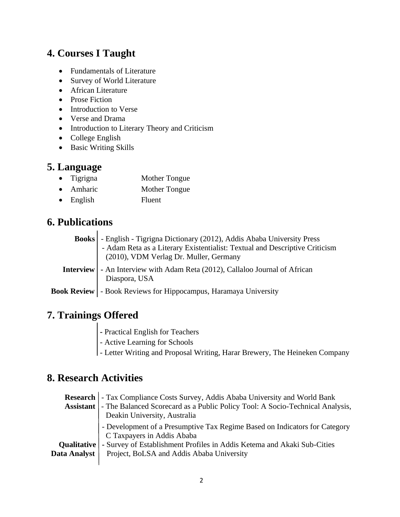#### **4. Courses I Taught**

- Fundamentals of Literature
- Survey of World Literature
- African Literature
- Prose Fiction
- Introduction to Verse
- Verse and Drama
- Introduction to Literary Theory and Criticism
- College English
- Basic Writing Skills

#### **5. Language**

- Tigrigna Mother Tongue
- Amharic Mother Tongue
- English Fluent

#### **6. Publications**

| <b>Books</b> - English - Tigrigna Dictionary (2012), Addis Ababa University Press                                     |
|-----------------------------------------------------------------------------------------------------------------------|
| - Adam Reta as a Literary Existentialist: Textual and Descriptive Criticism<br>(2010), VDM Verlag Dr. Muller, Germany |
| <b>Interview</b> - An Interview with Adam Reta (2012), Callaloo Journal of African<br>Diaspora, USA                   |
| <b>Book Review   - Book Reviews for Hippocampus, Haramaya University</b>                                              |

## **7. Trainings Offered**

- **-** Practical English for Teachers
- Active Learning for Schools
- Letter Writing and Proposal Writing, Harar Brewery, The Heineken Company

#### **8. Research Activities**

|              | <b>Research</b> - Tax Compliance Costs Survey, Addis Ababa University and World Bank<br>Assistant   - The Balanced Scorecard as a Public Policy Tool: A Socio-Technical Analysis,<br>Deakin University, Australia                            |
|--------------|----------------------------------------------------------------------------------------------------------------------------------------------------------------------------------------------------------------------------------------------|
| Data Analyst | - Development of a Presumptive Tax Regime Based on Indicators for Category<br>C Taxpayers in Addis Ababa<br>Qualitative - Survey of Establishment Profiles in Addis Ketema and Akaki Sub-Cities<br>Project, BoLSA and Addis Ababa University |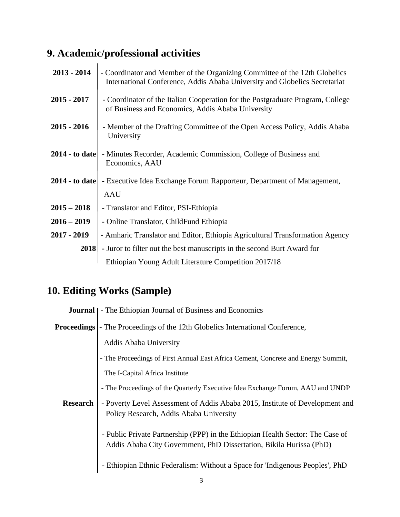# **9. Academic/professional activities**

| $2013 - 2014$    | - Coordinator and Member of the Organizing Committee of the 12th Globelics<br>International Conference, Addis Ababa University and Globelics Secretariat |
|------------------|----------------------------------------------------------------------------------------------------------------------------------------------------------|
| $2015 - 2017$    | - Coordinator of the Italian Cooperation for the Postgraduate Program, College<br>of Business and Economics, Addis Ababa University                      |
| $2015 - 2016$    | - Member of the Drafting Committee of the Open Access Policy, Addis Ababa<br>University                                                                  |
| $2014 -$ to date | - Minutes Recorder, Academic Commission, College of Business and<br>Economics, AAU                                                                       |
|                  | <b>2014 - to date</b>   - Executive Idea Exchange Forum Rapporteur, Department of Management,<br><b>AAU</b>                                              |
| $2015 - 2018$    | - Translator and Editor, PSI-Ethiopia                                                                                                                    |
| $2016 - 2019$    | - Online Translator, ChildFund Ethiopia                                                                                                                  |
| $2017 - 2019$    | - Amharic Translator and Editor, Ethiopia Agricultural Transformation Agency                                                                             |
| 2018             | - Juror to filter out the best manuscripts in the second Burt Award for                                                                                  |
|                  | Ethiopian Young Adult Literature Competition 2017/18                                                                                                     |

# **10. Editing Works (Sample)**

|                 | <b>Journal</b>   - The Ethiopian Journal of Business and Economics                                                                                    |
|-----------------|-------------------------------------------------------------------------------------------------------------------------------------------------------|
|                 | <b>Proceedings</b> - The Proceedings of the 12th Globelics International Conference,                                                                  |
|                 | Addis Ababa University                                                                                                                                |
|                 | - The Proceedings of First Annual East Africa Cement, Concrete and Energy Summit,                                                                     |
|                 | The I-Capital Africa Institute                                                                                                                        |
|                 | - The Proceedings of the Quarterly Executive Idea Exchange Forum, AAU and UNDP                                                                        |
| <b>Research</b> | - Poverty Level Assessment of Addis Ababa 2015, Institute of Development and<br>Policy Research, Addis Ababa University                               |
|                 | - Public Private Partnership (PPP) in the Ethiopian Health Sector: The Case of<br>Addis Ababa City Government, PhD Dissertation, Bikila Hurissa (PhD) |
|                 | Ethiopian Ethnic Federalism: Without a Space for 'Indigenous Peoples', PhD                                                                            |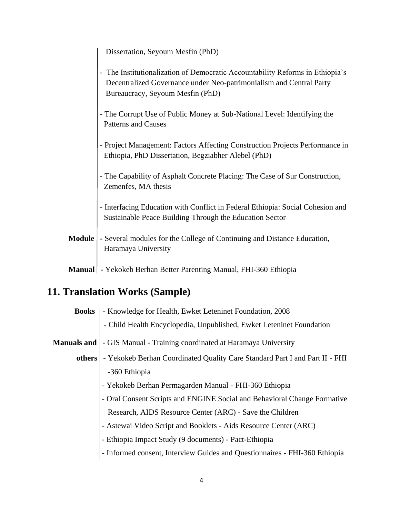|               | Dissertation, Seyoum Mesfin (PhD)                                                                                                                                                        |
|---------------|------------------------------------------------------------------------------------------------------------------------------------------------------------------------------------------|
|               | - The Institutionalization of Democratic Accountability Reforms in Ethiopia's<br>Decentralized Governance under Neo-patrimonialism and Central Party<br>Bureaucracy, Seyoum Mesfin (PhD) |
|               | - The Corrupt Use of Public Money at Sub-National Level: Identifying the<br><b>Patterns and Causes</b>                                                                                   |
|               | - Project Management: Factors Affecting Construction Projects Performance in<br>Ethiopia, PhD Dissertation, Begziabher Alebel (PhD)                                                      |
|               | - The Capability of Asphalt Concrete Placing: The Case of Sur Construction,<br>Zemenfes, MA thesis                                                                                       |
|               | - Interfacing Education with Conflict in Federal Ethiopia: Social Cohesion and<br>Sustainable Peace Building Through the Education Sector                                                |
| <b>Module</b> | - Several modules for the College of Continuing and Distance Education,<br>Haramaya University                                                                                           |
|               | Manual   - Yekokeb Berhan Better Parenting Manual, FHI-360 Ethiopia                                                                                                                      |

# **11. Translation Works (Sample)**

| <b>Books</b> | - Knowledge for Health, Ewket Leteninet Foundation, 2008                    |
|--------------|-----------------------------------------------------------------------------|
|              | - Child Health Encyclopedia, Unpublished, Ewket Leteninet Foundation        |
| Manuals and  | - GIS Manual - Training coordinated at Haramaya University                  |
| others       | - Yekokeb Berhan Coordinated Quality Care Standard Part I and Part II - FHI |
|              | -360 Ethiopia                                                               |
|              | - Yekokeb Berhan Permagarden Manual - FHI-360 Ethiopia                      |
|              | - Oral Consent Scripts and ENGINE Social and Behavioral Change Formative    |
|              | Research, AIDS Resource Center (ARC) - Save the Children                    |
|              | - Astewai Video Script and Booklets - Aids Resource Center (ARC)            |
|              | - Ethiopia Impact Study (9 documents) - Pact-Ethiopia                       |
|              | - Informed consent, Interview Guides and Questionnaires - FHI-360 Ethiopia  |
|              |                                                                             |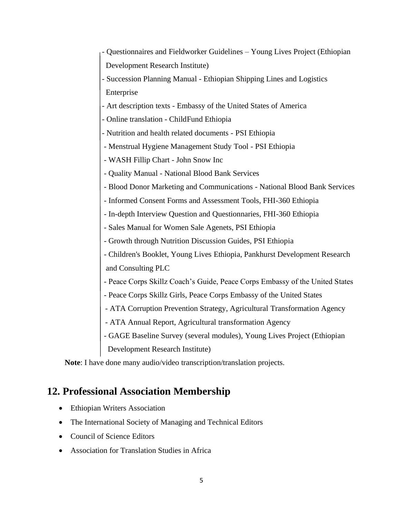- Questionnaires and Fieldworker Guidelines Young Lives Project (Ethiopian Development Research Institute)
- Succession Planning Manual Ethiopian Shipping Lines and Logistics Enterprise
- Art description texts Embassy of the United States of America
- Online translation ChildFund Ethiopia
- Nutrition and health related documents PSI Ethiopia
- Menstrual Hygiene Management Study Tool PSI Ethiopia
- WASH Fillip Chart John Snow Inc
- Quality Manual National Blood Bank Services
- Blood Donor Marketing and Communications National Blood Bank Services
- Informed Consent Forms and Assessment Tools, FHI-360 Ethiopia
- In-depth Interview Question and Questionnaries, FHI-360 Ethiopia
- Sales Manual for Women Sale Agenets, PSI Ethiopia
- Growth through Nutrition Discussion Guides, PSI Ethiopia
- Children's Booklet, Young Lives Ethiopia, Pankhurst Development Research and Consulting PLC
- Peace Corps Skillz Coach's Guide, Peace Corps Embassy of the United States
- Peace Corps Skillz Girls, Peace Corps Embassy of the United States
- ATA Corruption Prevention Strategy, Agricultural Transformation Agency
- ATA Annual Report, Agricultural transformation Agency
- GAGE Baseline Survey (several modules), Young Lives Project (Ethiopian Development Research Institute)

**Note**: I have done many audio/video transcription/translation projects.

#### **12. Professional Association Membership**

- Ethiopian Writers Association
- The International Society of Managing and Technical Editors
- Council of Science Editors
- Association for Translation Studies in Africa